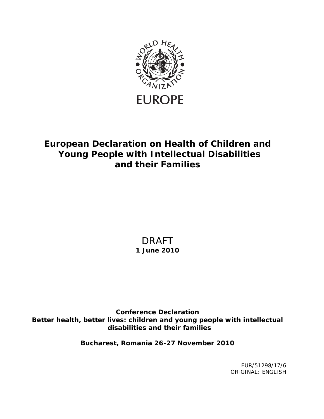

# **European Declaration on Health of Children and Young People with Intellectual Disabilities and their Families**

DRAFT **1 June 2010** 

**Conference Declaration Better health, better lives: children and young people with intellectual disabilities and their families** 

**Bucharest, Romania 26-27 November 2010**

EUR/51298/17/6 ORIGINAL: ENGLISH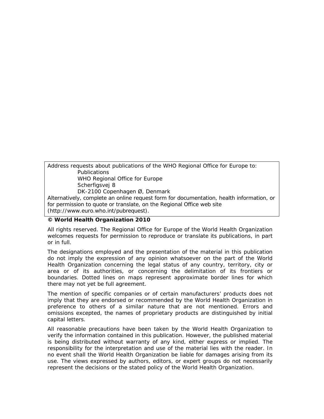Address requests about publications of the WHO Regional Office for Europe to: **Publications** WHO Regional Office for Europe Scherfigsvej 8 DK-2100 Copenhagen Ø, Denmark Alternatively, complete an online request form for documentation, health information, or for permission to quote or translate, on the Regional Office web site (http://www.euro.who.int/pubrequest).

#### **© World Health Organization 2010**

All rights reserved. The Regional Office for Europe of the World Health Organization welcomes requests for permission to reproduce or translate its publications, in part or in full.

The designations employed and the presentation of the material in this publication do not imply the expression of any opinion whatsoever on the part of the World Health Organization concerning the legal status of any country, territory, city or area or of its authorities, or concerning the delimitation of its frontiers or boundaries. Dotted lines on maps represent approximate border lines for which there may not yet be full agreement.

The mention of specific companies or of certain manufacturers' products does not imply that they are endorsed or recommended by the World Health Organization in preference to others of a similar nature that are not mentioned. Errors and omissions excepted, the names of proprietary products are distinguished by initial capital letters.

All reasonable precautions have been taken by the World Health Organization to verify the information contained in this publication. However, the published material is being distributed without warranty of any kind, either express or implied. The responsibility for the interpretation and use of the material lies with the reader. In no event shall the World Health Organization be liable for damages arising from its use. The views expressed by authors, editors, or expert groups do not necessarily represent the decisions or the stated policy of the World Health Organization.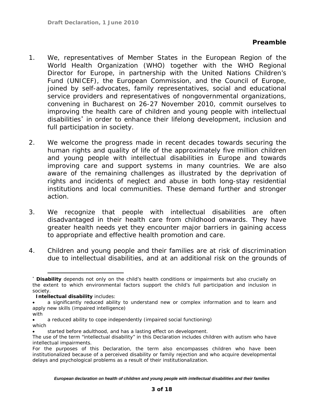## **Preamble**

- 1. We, representatives of Member States in the European Region of the World Health Organization (WHO) together with the WHO Regional Director for Europe, in partnership with the United Nations Children's Fund (UNICEF), the European Commission, and the Council of Europe, joined by self-advocates, family representatives, social and educational service providers and representatives of nongovernmental organizations, convening in Bucharest on 26-27 November 2010, commit ourselves to improving the health care of children and young people with intellectual disabilities<sup>\*</sup> in order to enhance their lifelong development, inclusion and full participation in society.
- 2. We welcome the progress made in recent decades towards securing the human rights and quality of life of the approximately five million children and young people with intellectual disabilities in Europe and towards improving care and support systems in many countries. We are also aware of the remaining challenges as illustrated by the deprivation of rights and incidents of neglect and abuse in both long-stay residential institutions and local communities. These demand further and stronger action.
- 3. We recognize that people with intellectual disabilities are often disadvantaged in their health care from childhood onwards. They have greater health needs yet they encounter major barriers in gaining access to appropriate and effective health promotion and care.
- 4. Children and young people and their families are at risk of discrimination due to intellectual disabilities, and at an additional risk on the grounds of

 $\overline{a}$ 

<span id="page-2-0"></span>*Disability* depends not only on the child's health conditions or impairments but also crucially on the extent to which environmental factors support the child's full participation and inclusion in society.

*Intellectual disability* includes:

a significantly reduced ability to understand new or complex information and to learn and apply new skills (impaired intelligence)

with

a reduced ability to cope independently (impaired social functioning) which

started before adulthood, and has a lasting effect on development.

The use of the term "intellectual disability" in this Declaration includes children with autism who have intellectual impairments.

For the purposes of this Declaration, the term also encompasses children who have been institutionalized because of a perceived disability or family rejection and who acquire developmental delays and psychological problems as a result of their institutionalization.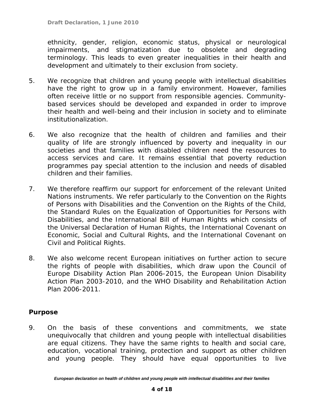ethnicity, gender, religion, economic status, physical or neurological impairments, and stigmatization due to obsolete and degrading terminology. This leads to even greater inequalities in their health and development and ultimately to their exclusion from society.

- 5. We recognize that children and young people with intellectual disabilities have the right to grow up in a family environment. However, families often receive little or no support from responsible agencies. Communitybased services should be developed and expanded in order to improve their health and well-being and their inclusion in society and to eliminate institutionalization.
- 6. We also recognize that the health of children and families and their quality of life are strongly influenced by poverty and inequality in our societies and that families with disabled children need the resources to access services and care. It remains essential that poverty reduction programmes pay special attention to the inclusion and needs of disabled children and their families.
- 7. We therefore reaffirm our support for enforcement of the relevant United Nations instruments. We refer particularly to the Convention on the Rights of Persons with Disabilities and the Convention on the Rights of the Child, the Standard Rules on the Equalization of Opportunities for Persons with Disabilities, and the International Bill of Human Rights which consists of the Universal Declaration of Human Rights, the International Covenant on Economic, Social and Cultural Rights, and the International Covenant on Civil and Political Rights.
- 8. We also welcome recent European initiatives on further action to secure the rights of people with disabilities, which draw upon the Council of Europe Disability Action Plan 2006-2015, the European Union Disability Action Plan 2003-2010, and the WHO Disability and Rehabilitation Action Plan 2006-2011.

# **Purpose**

9. On the basis of these conventions and commitments, we state unequivocally that children and young people with intellectual disabilities are equal citizens. They have the same rights to health and social care, education, vocational training, protection and support as other children and young people. They should have equal opportunities to live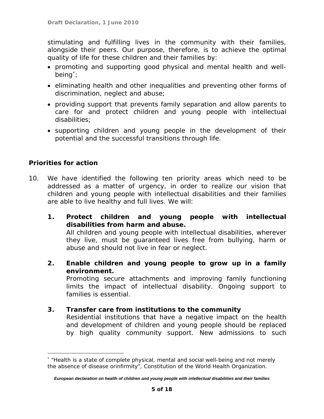stimulating and fulfilling lives in the community with their families, alongside their peers. Our purpose, therefore, is to achieve the optimal quality of life for these children and their families by:

- promoting and supporting good physical and mental health and wellbeing ;
- eliminating health and other inequalities and preventing other forms of discrimination, neglect and abuse;
- providing support that prevents family separation and allow parents to care for and protect children and young people with intellectual disabilities;
- supporting children and young people in the development of their potential and the successful transitions through life.

# **Priorities for action**

 $\overline{a}$ 

- 10. We have identified the following ten priority areas which need to be addressed as a matter of urgency, in order to realize our vision that children and young people with intellectual disabilities and their families are able to live healthy and full lives. We will:
	- **1. Protect children and young people with intellectual disabilities from harm and abuse.**  All children and young people with intellectual disabilities, wherever they live, must be guaranteed lives free from bullying, harm or abuse and should not live in fear or neglect.
	- **2. Enable children and young people to grow up in a family environment.**

 Promoting secure attachments and improving family functioning limits the impact of intellectual disability. Ongoing support to families is essential.

# **3. Transfer care from institutions to the community**

Residential institutions that have a negative impact on the health and development of children and young people should be replaced by high quality community support. New admissions to such

<span id="page-4-0"></span> "Health is a state of complete physical, mental and social well-being and not merely the absence of disease orinfirmity", Constitution of the World Health Organization.

*European declaration on health of children and young people with intellectual disabilities and their families*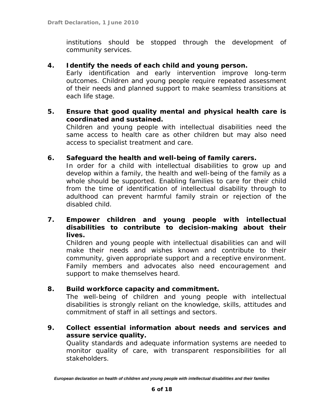institutions should be stopped through the development of community services.

## **4. Identify the needs of each child and young person.**

 Early identification and early intervention improve long-term outcomes. Children and young people require repeated assessment of their needs and planned support to make seamless transitions at each life stage.

## **5. Ensure that good quality mental and physical health care is coordinated and sustained.**

 Children and young people with intellectual disabilities need the same access to health care as other children but may also need access to specialist treatment and care.

## **6. Safeguard the health and well-being of family carers.**

 In order for a child with intellectual disabilities to grow up and develop within a family, the health and well-being of the family as a whole should be supported. Enabling families to care for their child from the time of identification of intellectual disability through to adulthood can prevent harmful family strain or rejection of the disabled child.

## **7. Empower children and young people with intellectual disabilities to contribute to decision-making about their lives.**

 Children and young people with intellectual disabilities can and will make their needs and wishes known and contribute to their community, given appropriate support and a receptive environment. Family members and advocates also need encouragement and support to make themselves heard.

## **8. Build workforce capacity and commitment.**

 The well-being of children and young people with intellectual disabilities is strongly reliant on the knowledge, skills, attitudes and commitment of staff in all settings and sectors.

## **9. Collect essential information about needs and services and assure service quality.**

 Quality standards and adequate information systems are needed to monitor quality of care, with transparent responsibilities for all stakeholders.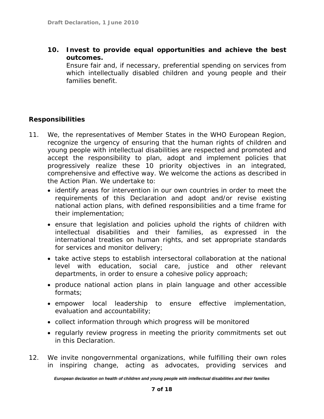**10. Invest to provide equal opportunities and achieve the best outcomes.** 

Ensure fair and, if necessary, preferential spending on services from which intellectually disabled children and young people and their families benefit.

# **Responsibilities**

- 11. We, the representatives of Member States in the WHO European Region, recognize the urgency of ensuring that the human rights of children and young people with intellectual disabilities are respected and promoted and accept the responsibility to plan, adopt and implement policies that progressively realize these 10 priority objectives in an integrated, comprehensive and effective way. We welcome the actions as described in the Action Plan. We undertake to:
	- identify areas for intervention in our own countries in order to meet the requirements of this Declaration and adopt and/or revise existing national action plans, with defined responsibilities and a time frame for their implementation;
	- ensure that legislation and policies uphold the rights of children with intellectual disabilities and their families, as expressed in the international treaties on human rights, and set appropriate standards for services and monitor delivery;
	- take active steps to establish intersectoral collaboration at the national level with education, social care, justice and other relevant departments, in order to ensure a cohesive policy approach;
	- produce national action plans in plain language and other accessible formats;
	- empower local leadership to ensure effective implementation, evaluation and accountability;
	- collect information through which progress will be monitored
	- regularly review progress in meeting the priority commitments set out in this Declaration.
- 12. We invite nongovernmental organizations, while fulfilling their own roles in inspiring change, acting as advocates, providing services and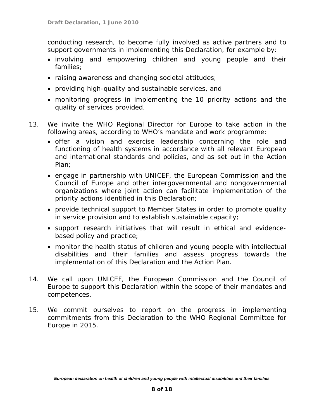conducting research, to become fully involved as active partners and to support governments in implementing this Declaration, for example by:

- involving and empowering children and young people and their families;
- raising awareness and changing societal attitudes;
- providing high-quality and sustainable services, and
- monitoring progress in implementing the 10 priority actions and the quality of services provided.
- 13. We invite the WHO Regional Director for Europe to take action in the following areas, according to WHO's mandate and work programme:
	- offer a vision and exercise leadership concerning the role and functioning of health systems in accordance with all relevant European and international standards and policies, and as set out in the Action Plan;
	- engage in partnership with UNICEF, the European Commission and the Council of Europe and other intergovernmental and nongovernmental organizations where joint action can facilitate implementation of the priority actions identified in this Declaration;
	- provide technical support to Member States in order to promote quality in service provision and to establish sustainable capacity;
	- support research initiatives that will result in ethical and evidencebased policy and practice;
	- monitor the health status of children and young people with intellectual disabilities and their families and assess progress towards the implementation of this Declaration and the Action Plan.
- 14. We call upon UNICEF, the European Commission and the Council of Europe to support this Declaration within the scope of their mandates and competences.
- 15. We commit ourselves to report on the progress in implementing commitments from this Declaration to the WHO Regional Committee for Europe in 2015.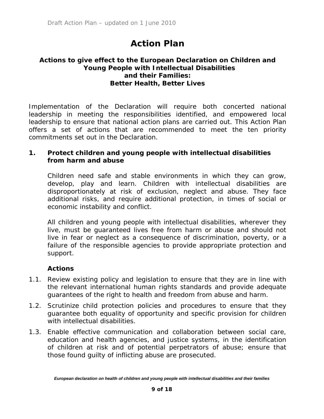# **Action Plan**

## **Actions to give effect to the European Declaration on Children and Young People with Intellectual Disabilities and their Families: Better Health, Better Lives**

Implementation of the Declaration will require both concerted national leadership in meeting the responsibilities identified, and empowered local leadership to ensure that national action plans are carried out. This Action Plan offers a set of actions that are recommended to meet the ten priority commitments set out in the Declaration.

## **1. Protect children and young people with intellectual disabilities from harm and abuse**

Children need safe and stable environments in which they can grow, develop, play and learn. Children with intellectual disabilities are disproportionately at risk of exclusion, neglect and abuse. They face additional risks, and require additional protection, in times of social or economic instability and conflict.

All children and young people with intellectual disabilities, wherever they live, must be guaranteed lives free from harm or abuse and should not live in fear or neglect as a consequence of discrimination, poverty, or a failure of the responsible agencies to provide appropriate protection and support.

- 1.1. Review existing policy and legislation to ensure that they are in line with the relevant international human rights standards and provide adequate guarantees of the right to health and freedom from abuse and harm.
- 1.2. Scrutinize child protection policies and procedures to ensure that they guarantee both equality of opportunity and specific provision for children with intellectual disabilities.
- 1.3. Enable effective communication and collaboration between social care, education and health agencies, and justice systems, in the identification of children at risk and of potential perpetrators of abuse; ensure that those found guilty of inflicting abuse are prosecuted.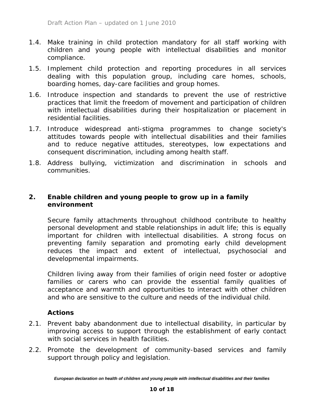- 1.4. Make training in child protection mandatory for all staff working with children and young people with intellectual disabilities and monitor compliance.
- 1.5. Implement child protection and reporting procedures in all services dealing with this population group, including care homes, schools, boarding homes, day-care facilities and group homes.
- 1.6. Introduce inspection and standards to prevent the use of restrictive practices that limit the freedom of movement and participation of children with intellectual disabilities during their hospitalization or placement in residential facilities.
- 1.7. Introduce widespread anti-stigma programmes to change society's attitudes towards people with intellectual disabilities and their families and to reduce negative attitudes, stereotypes, low expectations and consequent discrimination, including among health staff.
- 1.8. Address bullying, victimization and discrimination in schools and communities.

## **2. Enable children and young people to grow up in a family environment**

Secure family attachments throughout childhood contribute to healthy personal development and stable relationships in adult life; this is equally important for children with intellectual disabilities. A strong focus on preventing family separation and promoting early child development reduces the impact and extent of intellectual, psychosocial and developmental impairments.

Children living away from their families of origin need foster or adoptive families or carers who can provide the essential family qualities of acceptance and warmth and opportunities to interact with other children and who are sensitive to the culture and needs of the individual child.

- 2.1. Prevent baby abandonment due to intellectual disability, in particular by improving access to support through the establishment of early contact with social services in health facilities.
- 2.2. Promote the development of community-based services and family support through policy and legislation.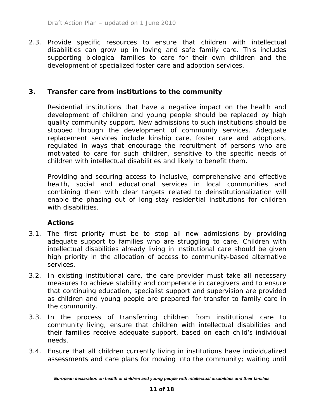2.3. Provide specific resources to ensure that children with intellectual disabilities can grow up in loving and safe family care. This includes supporting biological families to care for their own children and the development of specialized foster care and adoption services.

### **3. Transfer care from institutions to the community**

Residential institutions that have a negative impact on the health and development of children and young people should be replaced by high quality community support. New admissions to such institutions should be stopped through the development of community services. Adequate replacement services include kinship care, foster care and adoptions, regulated in ways that encourage the recruitment of persons who are motivated to care for such children, sensitive to the specific needs of children with intellectual disabilities and likely to benefit them.

Providing and securing access to inclusive, comprehensive and effective health, social and educational services in local communities and combining them with clear targets related to deinstitutionalization will enable the phasing out of long-stay residential institutions for children with disabilities.

- 3.1. The first priority must be to stop all new admissions by providing adequate support to families who are struggling to care. Children with intellectual disabilities already living in institutional care should be given high priority in the allocation of access to community-based alternative services.
- 3.2. In existing institutional care, the care provider must take all necessary measures to achieve stability and competence in caregivers and to ensure that continuing education, specialist support and supervision are provided as children and young people are prepared for transfer to family care in the community.
- 3.3. In the process of transferring children from institutional care to community living, ensure that children with intellectual disabilities and their families receive adequate support, based on each child's individual needs.
- 3.4. Ensure that all children currently living in institutions have individualized assessments and care plans for moving into the community; waiting until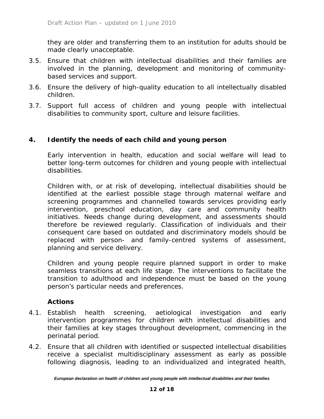they are older and transferring them to an institution for adults should be made clearly unacceptable.

- 3.5. Ensure that children with intellectual disabilities and their families are involved in the planning, development and monitoring of communitybased services and support.
- 3.6. Ensure the delivery of high-quality education to all intellectually disabled children.
- 3.7. Support full access of children and young people with intellectual disabilities to community sport, culture and leisure facilities.

## **4. Identify the needs of each child and young person**

Early intervention in health, education and social welfare will lead to better long-term outcomes for children and young people with intellectual disabilities.

Children with, or at risk of developing, intellectual disabilities should be identified at the earliest possible stage through maternal welfare and screening programmes and channelled towards services providing early intervention, preschool education, day care and community health initiatives. Needs change during development, and assessments should therefore be reviewed regularly. Classification of individuals and their consequent care based on outdated and discriminatory models should be replaced with person- and family-centred systems of assessment, planning and service delivery.

Children and young people require planned support in order to make seamless transitions at each life stage. The interventions to facilitate the transition to adulthood and independence must be based on the young person's particular needs and preferences.

- 4.1. Establish health screening, aetiological investigation and early intervention programmes for children with intellectual disabilities and their families at key stages throughout development, commencing in the perinatal period.
- 4.2. Ensure that all children with identified or suspected intellectual disabilities receive a specialist multidisciplinary assessment as early as possible following diagnosis, leading to an individualized and integrated health,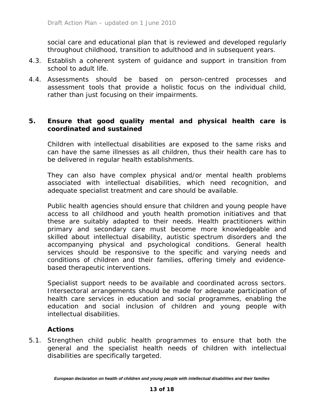social care and educational plan that is reviewed and developed regularly throughout childhood, transition to adulthood and in subsequent years.

- 4.3. Establish a coherent system of guidance and support in transition from school to adult life.
- 4.4. Assessments should be based on person-centred processes and assessment tools that provide a holistic focus on the individual child, rather than just focusing on their impairments.

## **5. Ensure that good quality mental and physical health care is coordinated and sustained**

Children with intellectual disabilities are exposed to the same risks and can have the same illnesses as all children, thus their health care has to be delivered in regular health establishments.

They can also have complex physical and/or mental health problems associated with intellectual disabilities, which need recognition, and adequate specialist treatment and care should be available.

Public health agencies should ensure that children and young people have access to all childhood and youth health promotion initiatives and that these are suitably adapted to their needs. Health practitioners within primary and secondary care must become more knowledgeable and skilled about intellectual disability, autistic spectrum disorders and the accompanying physical and psychological conditions. General health services should be responsive to the specific and varying needs and conditions of children and their families, offering timely and evidencebased therapeutic interventions.

Specialist support needs to be available and coordinated across sectors. Intersectoral arrangements should be made for adequate participation of health care services in education and social programmes, enabling the education and social inclusion of children and young people with intellectual disabilities.

## **Actions**

5.1. Strengthen child public health programmes to ensure that both the general and the specialist health needs of children with intellectual disabilities are specifically targeted.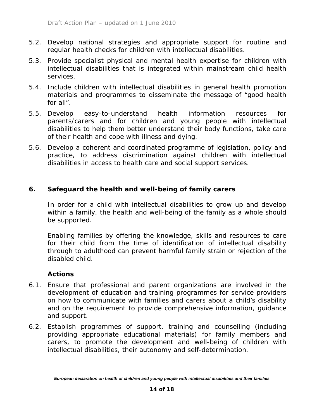- 5.2. Develop national strategies and appropriate support for routine and regular health checks for children with intellectual disabilities.
- 5.3. Provide specialist physical and mental health expertise for children with intellectual disabilities that is integrated within mainstream child health services.
- 5.4. Include children with intellectual disabilities in general health promotion materials and programmes to disseminate the message of "good health for all".
- 5.5. Develop easy-to-understand health information resources for parents/carers and for children and young people with intellectual disabilities to help them better understand their body functions, take care of their health and cope with illness and dying.
- 5.6. Develop a coherent and coordinated programme of legislation, policy and practice, to address discrimination against children with intellectual disabilities in access to health care and social support services.

## **6. Safeguard the health and well-being of family carers**

In order for a child with intellectual disabilities to grow up and develop within a family, the health and well-being of the family as a whole should be supported.

Enabling families by offering the knowledge, skills and resources to care for their child from the time of identification of intellectual disability through to adulthood can prevent harmful family strain or rejection of the disabled child.

- 6.1. Ensure that professional and parent organizations are involved in the development of education and training programmes for service providers on how to communicate with families and carers about a child's disability and on the requirement to provide comprehensive information, guidance and support.
- 6.2. Establish programmes of support, training and counselling (including providing appropriate educational materials) for family members and carers, to promote the development and well-being of children with intellectual disabilities, their autonomy and self-determination.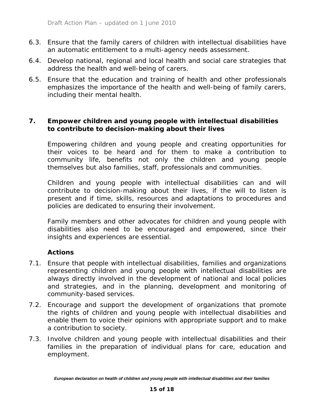- 6.3. Ensure that the family carers of children with intellectual disabilities have an automatic entitlement to a multi-agency needs assessment.
- 6.4. Develop national, regional and local health and social care strategies that address the health and well-being of carers.
- 6.5. Ensure that the education and training of health and other professionals emphasizes the importance of the health and well-being of family carers, including their mental health.

## **7. Empower children and young people with intellectual disabilities to contribute to decision-making about their lives**

Empowering children and young people and creating opportunities for their voices to be heard and for them to make a contribution to community life, benefits not only the children and young people themselves but also families, staff, professionals and communities.

Children and young people with intellectual disabilities can and will contribute to decision-making about their lives, if the will to listen is present and if time, skills, resources and adaptations to procedures and policies are dedicated to ensuring their involvement.

Family members and other advocates for children and young people with disabilities also need to be encouraged and empowered, since their insights and experiences are essential.

- 7.1. Ensure that people with intellectual disabilities, families and organizations representing children and young people with intellectual disabilities are always directly involved in the development of national and local policies and strategies, and in the planning, development and monitoring of community-based services.
- 7.2. Encourage and support the development of organizations that promote the rights of children and young people with intellectual disabilities and enable them to voice their opinions with appropriate support and to make a contribution to society.
- 7.3. Involve children and young people with intellectual disabilities and their families in the preparation of individual plans for care, education and employment.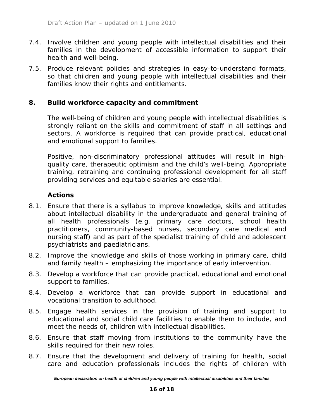- 7.4. Involve children and young people with intellectual disabilities and their families in the development of accessible information to support their health and well-being.
- 7.5. Produce relevant policies and strategies in easy-to-understand formats, so that children and young people with intellectual disabilities and their families know their rights and entitlements.

## **8. Build workforce capacity and commitment**

The well-being of children and young people with intellectual disabilities is strongly reliant on the skills and commitment of staff in all settings and sectors. A workforce is required that can provide practical, educational and emotional support to families.

Positive, non-discriminatory professional attitudes will result in highquality care, therapeutic optimism and the child's well-being. Appropriate training, retraining and continuing professional development for all staff providing services and equitable salaries are essential.

- 8.1. Ensure that there is a syllabus to improve knowledge, skills and attitudes about intellectual disability in the undergraduate and general training of all health professionals (e.g. primary care doctors, school health practitioners, community-based nurses, secondary care medical and nursing staff) and as part of the specialist training of child and adolescent psychiatrists and paediatricians.
- 8.2. Improve the knowledge and skills of those working in primary care, child and family health – emphasizing the importance of early intervention.
- 8.3. Develop a workforce that can provide practical, educational and emotional support to families.
- 8.4. Develop a workforce that can provide support in educational and vocational transition to adulthood.
- 8.5. Engage health services in the provision of training and support to educational and social child care facilities to enable them to include, and meet the needs of, children with intellectual disabilities.
- 8.6. Ensure that staff moving from institutions to the community have the skills required for their new roles.
- 8.7. Ensure that the development and delivery of training for health, social care and education professionals includes the rights of children with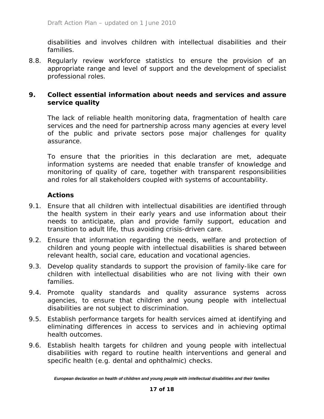disabilities and involves children with intellectual disabilities and their families.

8.8. Regularly review workforce statistics to ensure the provision of an appropriate range and level of support and the development of specialist professional roles.

## **9. Collect essential information about needs and services and assure service quality**

The lack of reliable health monitoring data, fragmentation of health care services and the need for partnership across many agencies at every level of the public and private sectors pose major challenges for quality assurance.

To ensure that the priorities in this declaration are met, adequate information systems are needed that enable transfer of knowledge and monitoring of quality of care, together with transparent responsibilities and roles for all stakeholders coupled with systems of accountability.

- 9.1. Ensure that all children with intellectual disabilities are identified through the health system in their early years and use information about their needs to anticipate, plan and provide family support, education and transition to adult life, thus avoiding crisis-driven care.
- 9.2. Ensure that information regarding the needs, welfare and protection of children and young people with intellectual disabilities is shared between relevant health, social care, education and vocational agencies.
- 9.3. Develop quality standards to support the provision of family-like care for children with intellectual disabilities who are not living with their own families.
- 9.4. Promote quality standards and quality assurance systems across agencies, to ensure that children and young people with intellectual disabilities are not subject to discrimination.
- 9.5. Establish performance targets for health services aimed at identifying and eliminating differences in access to services and in achieving optimal health outcomes.
- 9.6. Establish health targets for children and young people with intellectual disabilities with regard to routine health interventions and general and specific health (e.g. dental and ophthalmic) checks.